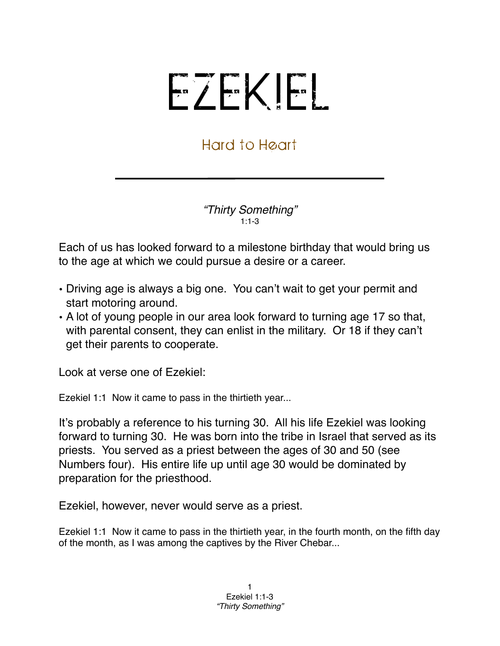## EZEKIEL

## Hard to Heart

*"Thirty Something"* 1:1-3

Each of us has looked forward to a milestone birthday that would bring us to the age at which we could pursue a desire or a career.

- Driving age is always a big one. You can't wait to get your permit and start motoring around.
- A lot of young people in our area look forward to turning age 17 so that, with parental consent, they can enlist in the military. Or 18 if they can't get their parents to cooperate.

Look at verse one of Ezekiel:

Ezekiel 1:1 Now it came to pass in the thirtieth year...

It's probably a reference to his turning 30. All his life Ezekiel was looking forward to turning 30. He was born into the tribe in Israel that served as its priests. You served as a priest between the ages of 30 and 50 (see Numbers four). His entire life up until age 30 would be dominated by preparation for the priesthood.

Ezekiel, however, never would serve as a priest.

Ezekiel 1:1 Now it came to pass in the thirtieth year, in the fourth month, on the fifth day of the month, as I was among the captives by the River Chebar...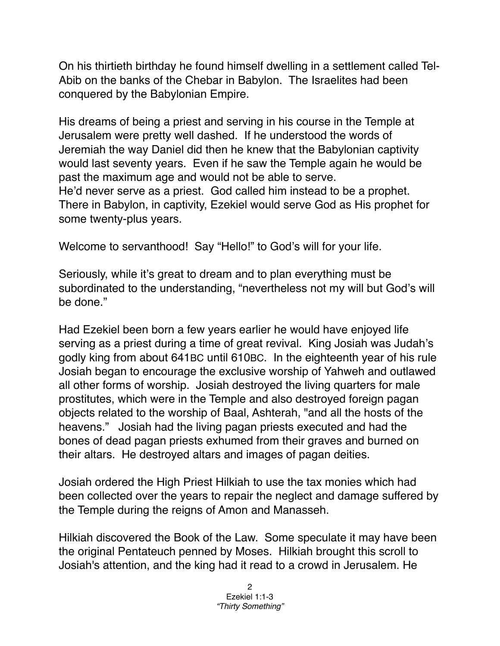On his thirtieth birthday he found himself dwelling in a settlement called Tel-Abib on the banks of the Chebar in Babylon. The Israelites had been conquered by the Babylonian Empire.

His dreams of being a priest and serving in his course in the Temple at Jerusalem were pretty well dashed. If he understood the words of Jeremiah the way Daniel did then he knew that the Babylonian captivity would last seventy years. Even if he saw the Temple again he would be past the maximum age and would not be able to serve. He'd never serve as a priest. God called him instead to be a prophet. There in Babylon, in captivity, Ezekiel would serve God as His prophet for some twenty-plus years.

Welcome to servanthood! Say "Hello!" to God's will for your life.

Seriously, while it's great to dream and to plan everything must be subordinated to the understanding, "nevertheless not my will but God's will be done."

Had Ezekiel been born a few years earlier he would have enjoyed life serving as a priest during a time of great revival. King Josiah was Judah's godly king from about 641BC until 610BC. In the eighteenth year of his rule Josiah began to encourage the exclusive worship of Yahweh and outlawed all other forms of worship. Josiah destroyed the living quarters for male prostitutes, which were in the Temple and also destroyed foreign pagan objects related to the worship of [Baal,](http://en.wikipedia.org/wiki/Baal) [Ashterah,](http://en.wikipedia.org/wiki/Ashterah) "and all the hosts of the heavens." Josiah had the living pagan priests executed and had the bones of dead pagan priests exhumed from their graves and burned on their altars. He destroyed altars and images of pagan deities.

Josiah ordered the High Priest [Hilkiah](http://en.wikipedia.org/wiki/Hilkiah) to use the tax monies which had been collected over the years to repair the neglect and damage suffered by the Temple during the reigns of [Amon](http://en.wikipedia.org/wiki/Amon_of_Judah) and [Manasseh](http://en.wikipedia.org/wiki/Manasseh_of_Judah).

Hilkiah discovered the Book of the Law. Some speculate it may have been the original Pentateuch penned by Moses. Hilkiah brought this scroll to Josiah's attention, and the king had it read to a crowd in Jerusalem. He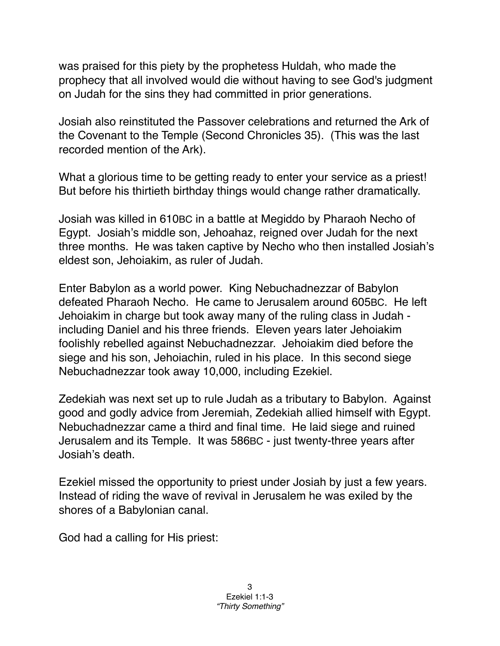was praised for this piety by the [prophetess](http://en.wikipedia.org/wiki/Prophetess) [Huldah,](http://en.wikipedia.org/wiki/Huldah) who made the prophecy that all involved would die without having to see God's judgment on Judah for the sins they had committed in prior generations.

Josiah also reinstituted the [Passover](http://en.wikipedia.org/wiki/Passover) celebrations and returned the [Ark of](http://en.wikipedia.org/wiki/Ark_of_the_Covenant)  [the Covenant](http://en.wikipedia.org/wiki/Ark_of_the_Covenant) to the [Temple](http://en.wikipedia.org/wiki/Solomon%27s_Temple) (Second Chronicles 35). (This was the last recorded mention of the Ark).

What a glorious time to be getting ready to enter your service as a priest! But before his thirtieth birthday things would change rather dramatically.

Josiah was killed in 610BC in a battle at Megiddo by Pharaoh Necho of Egypt. Josiah's middle son, Jehoahaz, reigned over Judah for the next three months. He was taken captive by Necho who then installed Josiah's eldest son, Jehoiakim, as ruler of Judah.

Enter Babylon as a world power. King Nebuchadnezzar of Babylon defeated Pharaoh Necho. He came to Jerusalem around 605BC. He left Jehoiakim in charge but took away many of the ruling class in Judah including Daniel and his three friends. Eleven years later Jehoiakim foolishly rebelled against Nebuchadnezzar. Jehoiakim died before the siege and his son, Jehoiachin, ruled in his place. In this second siege Nebuchadnezzar took away 10,000, including Ezekiel.

Zedekiah was next set up to rule Judah as a tributary to Babylon. Against good and godly advice from Jeremiah, Zedekiah allied himself with Egypt. Nebuchadnezzar came a third and final time. He laid siege and ruined Jerusalem and its Temple. It was 586BC - just twenty-three years after Josiah's death.

Ezekiel missed the opportunity to priest under Josiah by just a few years. Instead of riding the wave of revival in Jerusalem he was exiled by the shores of a Babylonian canal.

God had a calling for His priest: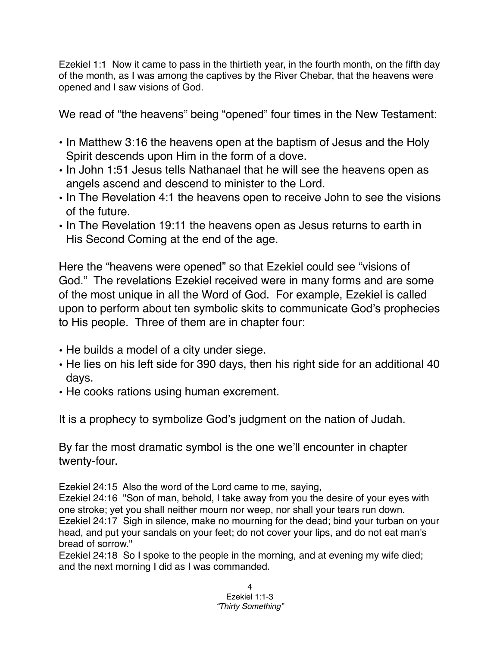Ezekiel 1:1 Now it came to pass in the thirtieth year, in the fourth month, on the fifth day of the month, as I was among the captives by the River Chebar, that the heavens were opened and I saw visions of God.

We read of "the heavens" being "opened" four times in the New Testament:

- In Matthew 3:16 the heavens open at the baptism of Jesus and the Holy Spirit descends upon Him in the form of a dove.
- In John 1:51 Jesus tells Nathanael that he will see the heavens open as angels ascend and descend to minister to the Lord.
- In The Revelation 4:1 the heavens open to receive John to see the visions of the future.
- In The Revelation 19:11 the heavens open as Jesus returns to earth in His Second Coming at the end of the age.

Here the "heavens were opened" so that Ezekiel could see "visions of God." The revelations Ezekiel received were in many forms and are some of the most unique in all the Word of God. For example, Ezekiel is called upon to perform about ten symbolic skits to communicate God's prophecies to His people. Three of them are in chapter four:

- He builds a model of a city under siege.
- He lies on his left side for 390 days, then his right side for an additional 40 days.
- He cooks rations using human excrement.

It is a prophecy to symbolize God's judgment on the nation of Judah.

By far the most dramatic symbol is the one we'll encounter in chapter twenty-four.

Ezekiel 24:15 Also the word of the Lord came to me, saying,

Ezekiel 24:16 "Son of man, behold, I take away from you the desire of your eyes with one stroke; yet you shall neither mourn nor weep, nor shall your tears run down. Ezekiel 24:17 Sigh in silence, make no mourning for the dead; bind your turban on your head, and put your sandals on your feet; do not cover your lips, and do not eat man's bread of sorrow."

Ezekiel 24:18 So I spoke to the people in the morning, and at evening my wife died; and the next morning I did as I was commanded.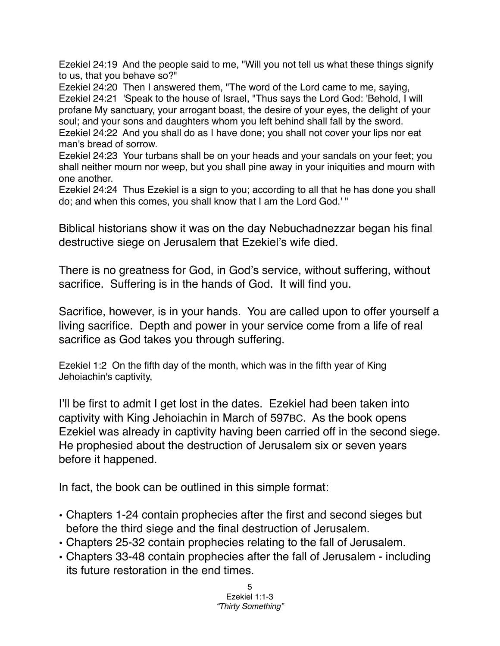Ezekiel 24:19 And the people said to me, "Will you not tell us what these things signify to us, that you behave so?"

Ezekiel 24:20 Then I answered them, "The word of the Lord came to me, saying, Ezekiel 24:21 'Speak to the house of Israel, "Thus says the Lord God: 'Behold, I will profane My sanctuary, your arrogant boast, the desire of your eyes, the delight of your soul; and your sons and daughters whom you left behind shall fall by the sword. Ezekiel 24:22 And you shall do as I have done; you shall not cover your lips nor eat

man's bread of sorrow.

Ezekiel 24:23 Your turbans shall be on your heads and your sandals on your feet; you shall neither mourn nor weep, but you shall pine away in your iniquities and mourn with one another.

Ezekiel 24:24 Thus Ezekiel is a sign to you; according to all that he has done you shall do; and when this comes, you shall know that I am the Lord God.' "

Biblical historians show it was on the day Nebuchadnezzar began his final destructive siege on Jerusalem that Ezekiel's wife died.

There is no greatness for God, in God's service, without suffering, without sacrifice. Suffering is in the hands of God. It will find you.

Sacrifice, however, is in your hands. You are called upon to offer yourself a living sacrifice. Depth and power in your service come from a life of real sacrifice as God takes you through suffering.

Ezekiel 1:2 On the fifth day of the month, which was in the fifth year of King Jehoiachin's captivity,

I'll be first to admit I get lost in the dates. Ezekiel had been taken into captivity with King Jehoiachin in March of 597BC. As the book opens Ezekiel was already in captivity having been carried off in the second siege. He prophesied about the destruction of Jerusalem six or seven years before it happened.

In fact, the book can be outlined in this simple format:

- Chapters 1-24 contain prophecies after the first and second sieges but before the third siege and the final destruction of Jerusalem.
- Chapters 25-32 contain prophecies relating to the fall of Jerusalem.
- Chapters 33-48 contain prophecies after the fall of Jerusalem including its future restoration in the end times.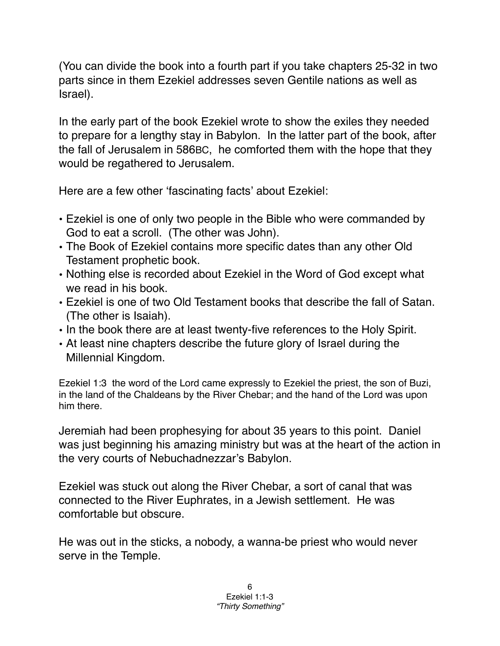(You can divide the book into a fourth part if you take chapters 25-32 in two parts since in them Ezekiel addresses seven Gentile nations as well as Israel).

In the early part of the book Ezekiel wrote to show the exiles they needed to prepare for a lengthy stay in Babylon. In the latter part of the book, after the fall of Jerusalem in 586BC, he comforted them with the hope that they would be regathered to Jerusalem.

Here are a few other ʻfascinating facts' about Ezekiel:

- Ezekiel is one of only two people in the Bible who were commanded by God to eat a scroll. (The other was John).
- The Book of Ezekiel contains more specific dates than any other Old Testament prophetic book.
- Nothing else is recorded about Ezekiel in the Word of God except what we read in his book.
- Ezekiel is one of two Old Testament books that describe the fall of Satan. (The other is Isaiah).
- In the book there are at least twenty-five references to the Holy Spirit.
- At least nine chapters describe the future glory of Israel during the Millennial Kingdom.

Ezekiel 1:3 the word of the Lord came expressly to Ezekiel the priest, the son of Buzi, in the land of the Chaldeans by the River Chebar; and the hand of the Lord was upon him there.

Jeremiah had been prophesying for about 35 years to this point. Daniel was just beginning his amazing ministry but was at the heart of the action in the very courts of Nebuchadnezzar's Babylon.

Ezekiel was stuck out along the River Chebar, a sort of canal that was connected to the River Euphrates, in a Jewish settlement. He was comfortable but obscure.

He was out in the sticks, a nobody, a wanna-be priest who would never serve in the Temple.